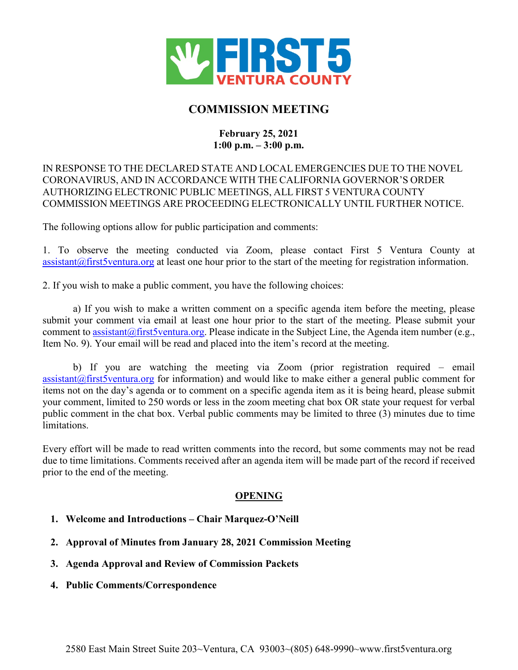

# **COMMISSION MEETING**

# **February 25, 2021 1:00 p.m. – 3:00 p.m.**

# IN RESPONSE TO THE DECLARED STATE AND LOCAL EMERGENCIES DUE TO THE NOVEL CORONAVIRUS, AND IN ACCORDANCE WITH THE CALIFORNIA GOVERNOR'S ORDER AUTHORIZING ELECTRONIC PUBLIC MEETINGS, ALL FIRST 5 VENTURA COUNTY COMMISSION MEETINGS ARE PROCEEDING ELECTRONICALLY UNTIL FURTHER NOTICE.

The following options allow for public participation and comments:

1. To observe the meeting conducted via Zoom, please contact First 5 Ventura County at  $\alpha$  assistant  $\alpha$  first 5 ventura, org at least one hour prior to the start of the meeting for registration information.

2. If you wish to make a public comment, you have the following choices:

a) If you wish to make a written comment on a specific agenda item before the meeting, please submit your comment via email at least one hour prior to the start of the meeting. Please submit your comment t[o assistant@first5ventura.org.](mailto:assistant@first5ventura.org) Please indicate in the Subject Line, the Agenda item number (e.g., Item No. 9). Your email will be read and placed into the item's record at the meeting.

b) If you are watching the meeting via Zoom (prior registration required – email  $\alpha$  [assistant@first5ventura.org](mailto:assistant@first5ventura.org) for information) and would like to make either a general public comment for items not on the day's agenda or to comment on a specific agenda item as it is being heard, please submit your comment, limited to 250 words or less in the zoom meeting chat box OR state your request for verbal public comment in the chat box. Verbal public comments may be limited to three (3) minutes due to time limitations.

Every effort will be made to read written comments into the record, but some comments may not be read due to time limitations. Comments received after an agenda item will be made part of the record if received prior to the end of the meeting.

# **OPENING**

- **1. Welcome and Introductions – Chair Marquez-O'Neill**
- **2. Approval of Minutes from January 28, 2021 Commission Meeting**
- **3. Agenda Approval and Review of Commission Packets**
- **4. Public Comments/Correspondence**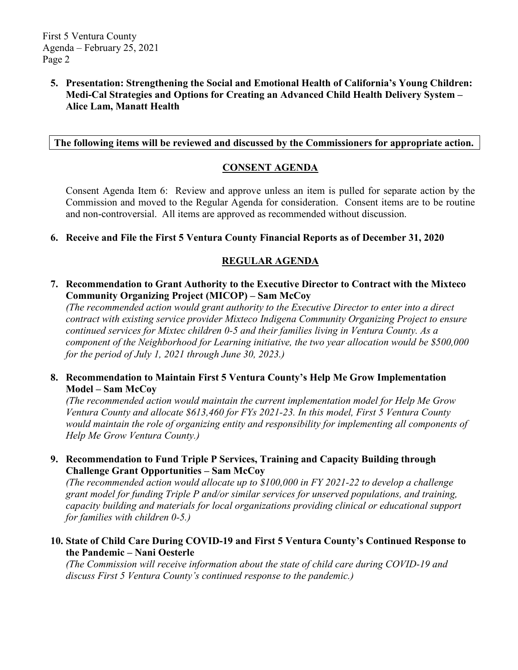# **5. Presentation: Strengthening the Social and Emotional Health of California's Young Children: Medi-Cal Strategies and Options for Creating an Advanced Child Health Delivery System – Alice Lam, Manatt Health**

# **The following items will be reviewed and discussed by the Commissioners for appropriate action.**

### **CONSENT AGENDA**

Consent Agenda Item 6: Review and approve unless an item is pulled for separate action by the Commission and moved to the Regular Agenda for consideration. Consent items are to be routine and non-controversial. All items are approved as recommended without discussion.

#### **6. Receive and File the First 5 Ventura County Financial Reports as of December 31, 2020**

# **REGULAR AGENDA**

**7. Recommendation to Grant Authority to the Executive Director to Contract with the Mixteco Community Organizing Project (MICOP) – Sam McCoy**

*(The recommended action would grant authority to the Executive Director to enter into a direct contract with existing service provider Mixteco Indigena Community Organizing Project to ensure continued services for Mixtec children 0-5 and their families living in Ventura County. As a component of the Neighborhood for Learning initiative, the two year allocation would be \$500,000 for the period of July 1, 2021 through June 30, 2023.)*

# **8. Recommendation to Maintain First 5 Ventura County's Help Me Grow Implementation Model – Sam McCoy**

*(The recommended action would maintain the current implementation model for Help Me Grow Ventura County and allocate \$613,460 for FYs 2021-23. In this model, First 5 Ventura County would maintain the role of organizing entity and responsibility for implementing all components of Help Me Grow Ventura County.)*

# **9. Recommendation to Fund Triple P Services, Training and Capacity Building through Challenge Grant Opportunities – Sam McCoy**

*(The recommended action would allocate up to \$100,000 in FY 2021-22 to develop a challenge grant model for funding Triple P and/or similar services for unserved populations, and training, capacity building and materials for local organizations providing clinical or educational support for families with children 0-5.)*

#### **10. State of Child Care During COVID-19 and First 5 Ventura County's Continued Response to the Pandemic – Nani Oesterle**

*(The Commission will receive information about the state of child care during COVID-19 and discuss First 5 Ventura County's continued response to the pandemic.)*